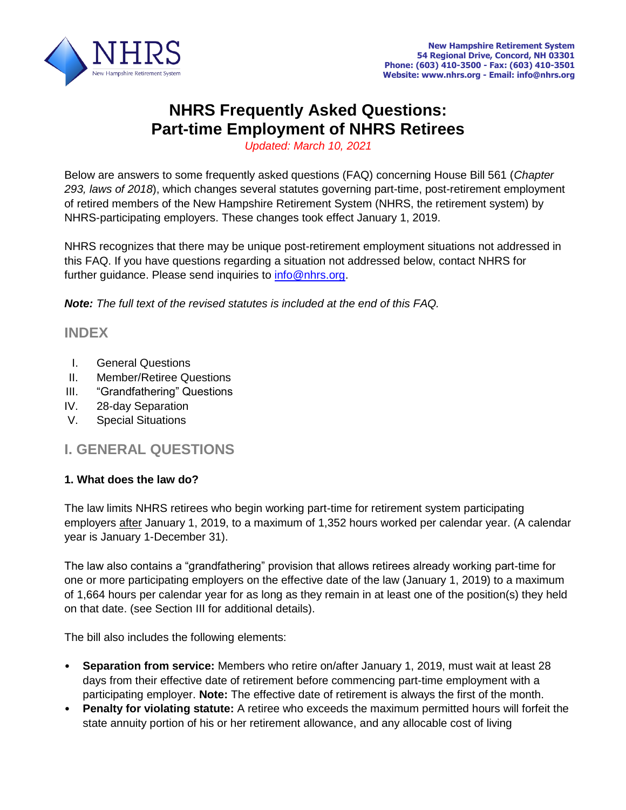

# **NHRS Frequently Asked Questions: Part-time Employment of NHRS Retirees**

*Updated: March 10, 2021*

Below are answers to some frequently asked questions (FAQ) concerning House Bill 561 (*Chapter 293, laws of 2018*), which changes several statutes governing part-time, post-retirement employment of retired members of the New Hampshire Retirement System (NHRS, the retirement system) by NHRS-participating employers. These changes took effect January 1, 2019.

NHRS recognizes that there may be unique post-retirement employment situations not addressed in this FAQ. If you have questions regarding a situation not addressed below, contact NHRS for further guidance. Please send inquiries to [info@nhrs.org.](mailto:info@nhrs.org)

*Note: The full text of the revised statutes is included at the end of this FAQ.*

## **INDEX**

- I. General Questions
- II. Member/Retiree Questions
- III. "Grandfathering" Questions
- IV. 28-day Separation
- V. Special Situations

# **I. GENERAL QUESTIONS**

#### **1. What does the law do?**

The law limits NHRS retirees who begin working part-time for retirement system participating employers after January 1, 2019, to a maximum of 1,352 hours worked per calendar year. (A calendar year is January 1-December 31).

The law also contains a "grandfathering" provision that allows retirees already working part-time for one or more participating employers on the effective date of the law (January 1, 2019) to a maximum of 1,664 hours per calendar year for as long as they remain in at least one of the position(s) they held on that date. (see Section III for additional details).

The bill also includes the following elements:

- **Separation from service:** Members who retire on/after January 1, 2019, must wait at least 28 days from their effective date of retirement before commencing part-time employment with a participating employer. **Note:** The effective date of retirement is always the first of the month.
- **Penalty for violating statute:** A retiree who exceeds the maximum permitted hours will forfeit the state annuity portion of his or her retirement allowance, and any allocable cost of living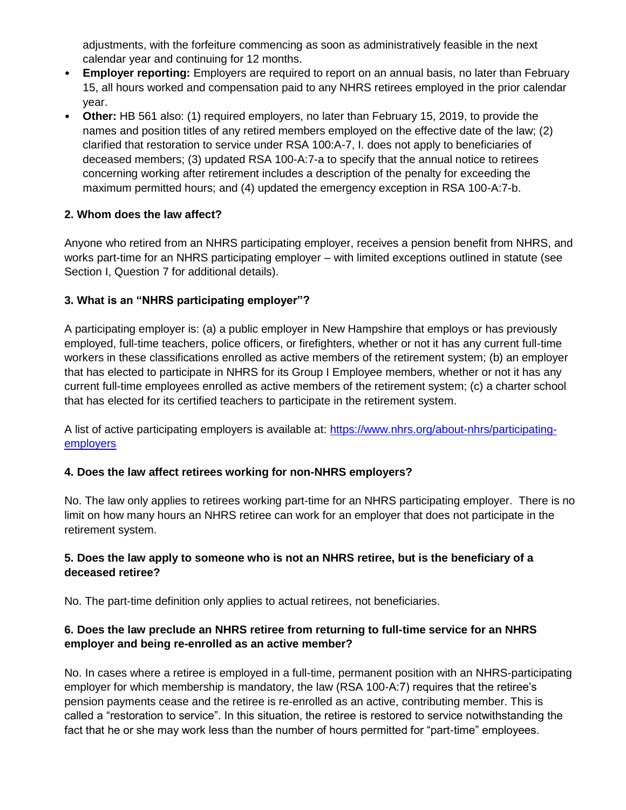adjustments, with the forfeiture commencing as soon as administratively feasible in the next calendar year and continuing for 12 months.

- **Employer reporting:** Employers are required to report on an annual basis, no later than February 15, all hours worked and compensation paid to any NHRS retirees employed in the prior calendar year.
- **Other:** HB 561 also: (1) required employers, no later than February 15, 2019, to provide the names and position titles of any retired members employed on the effective date of the law; (2) clarified that restoration to service under RSA 100:A-7, I. does not apply to beneficiaries of deceased members; (3) updated RSA 100-A:7-a to specify that the annual notice to retirees concerning working after retirement includes a description of the penalty for exceeding the maximum permitted hours; and (4) updated the emergency exception in RSA 100-A:7-b.

#### **2. Whom does the law affect?**

Anyone who retired from an NHRS participating employer, receives a pension benefit from NHRS, and works part-time for an NHRS participating employer – with limited exceptions outlined in statute (see Section I, Question 7 for additional details).

#### **3. What is an "NHRS participating employer"?**

A participating employer is: (a) a public employer in New Hampshire that employs or has previously employed, full-time teachers, police officers, or firefighters, whether or not it has any current full-time workers in these classifications enrolled as active members of the retirement system; (b) an employer that has elected to participate in NHRS for its Group I Employee members, whether or not it has any current full-time employees enrolled as active members of the retirement system; (c) a charter school that has elected for its certified teachers to participate in the retirement system.

A list of active participating employers is available at: [https://www.nhrs.org/about-nhrs/participating](https://www.nhrs.org/about-nhrs/participating-employers)[employers](https://www.nhrs.org/about-nhrs/participating-employers)

#### **4. Does the law affect retirees working for non-NHRS employers?**

No. The law only applies to retirees working part-time for an NHRS participating employer. There is no limit on how many hours an NHRS retiree can work for an employer that does not participate in the retirement system.

#### **5. Does the law apply to someone who is not an NHRS retiree, but is the beneficiary of a deceased retiree?**

No. The part-time definition only applies to actual retirees, not beneficiaries.

## **6. Does the law preclude an NHRS retiree from returning to full-time service for an NHRS employer and being re-enrolled as an active member?**

No. In cases where a retiree is employed in a full-time, permanent position with an NHRS-participating employer for which membership is mandatory, the law (RSA 100-A:7) requires that the retiree's pension payments cease and the retiree is re-enrolled as an active, contributing member. This is called a "restoration to service". In this situation, the retiree is restored to service notwithstanding the fact that he or she may work less than the number of hours permitted for "part-time" employees.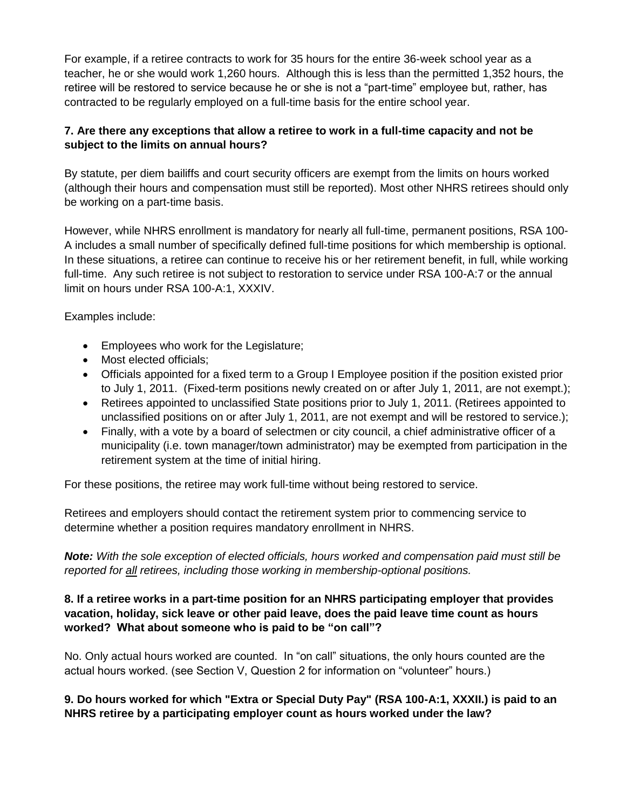For example, if a retiree contracts to work for 35 hours for the entire 36-week school year as a teacher, he or she would work 1,260 hours. Although this is less than the permitted 1,352 hours, the retiree will be restored to service because he or she is not a "part-time" employee but, rather, has contracted to be regularly employed on a full-time basis for the entire school year.

## **7. Are there any exceptions that allow a retiree to work in a full-time capacity and not be subject to the limits on annual hours?**

By statute, per diem bailiffs and court security officers are exempt from the limits on hours worked (although their hours and compensation must still be reported). Most other NHRS retirees should only be working on a part-time basis.

However, while NHRS enrollment is mandatory for nearly all full-time, permanent positions, RSA 100- A includes a small number of specifically defined full-time positions for which membership is optional. In these situations, a retiree can continue to receive his or her retirement benefit, in full, while working full-time. Any such retiree is not subject to restoration to service under RSA 100-A:7 or the annual limit on hours under RSA 100-A:1, XXXIV.

Examples include:

- Employees who work for the Legislature;
- Most elected officials;
- Officials appointed for a fixed term to a Group I Employee position if the position existed prior to July 1, 2011. (Fixed-term positions newly created on or after July 1, 2011, are not exempt.);
- Retirees appointed to unclassified State positions prior to July 1, 2011. (Retirees appointed to unclassified positions on or after July 1, 2011, are not exempt and will be restored to service.);
- Finally, with a vote by a board of selectmen or city council, a chief administrative officer of a municipality (i.e. town manager/town administrator) may be exempted from participation in the retirement system at the time of initial hiring.

For these positions, the retiree may work full-time without being restored to service.

Retirees and employers should contact the retirement system prior to commencing service to determine whether a position requires mandatory enrollment in NHRS.

*Note: With the sole exception of elected officials, hours worked and compensation paid must still be reported for all retirees, including those working in membership-optional positions.*

## **8. If a retiree works in a part-time position for an NHRS participating employer that provides vacation, holiday, sick leave or other paid leave, does the paid leave time count as hours worked? What about someone who is paid to be "on call"?**

No. Only actual hours worked are counted. In "on call" situations, the only hours counted are the actual hours worked. (see Section V, Question 2 for information on "volunteer" hours.)

## **9. Do hours worked for which "Extra or Special Duty Pay" (RSA 100-A:1, XXXII.) is paid to an NHRS retiree by a participating employer count as hours worked under the law?**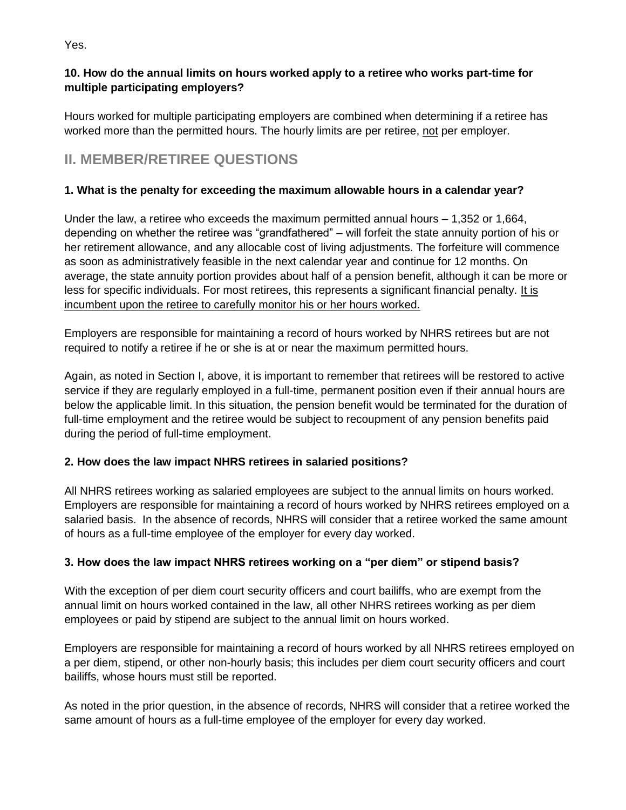Yes.

## **10. How do the annual limits on hours worked apply to a retiree who works part-time for multiple participating employers?**

Hours worked for multiple participating employers are combined when determining if a retiree has worked more than the permitted hours. The hourly limits are per retiree, not per employer.

# **II. MEMBER/RETIREE QUESTIONS**

## **1. What is the penalty for exceeding the maximum allowable hours in a calendar year?**

Under the law, a retiree who exceeds the maximum permitted annual hours – 1,352 or 1,664, depending on whether the retiree was "grandfathered" – will forfeit the state annuity portion of his or her retirement allowance, and any allocable cost of living adjustments. The forfeiture will commence as soon as administratively feasible in the next calendar year and continue for 12 months. On average, the state annuity portion provides about half of a pension benefit, although it can be more or less for specific individuals. For most retirees, this represents a significant financial penalty. It is incumbent upon the retiree to carefully monitor his or her hours worked.

Employers are responsible for maintaining a record of hours worked by NHRS retirees but are not required to notify a retiree if he or she is at or near the maximum permitted hours.

Again, as noted in Section I, above, it is important to remember that retirees will be restored to active service if they are regularly employed in a full-time, permanent position even if their annual hours are below the applicable limit. In this situation, the pension benefit would be terminated for the duration of full-time employment and the retiree would be subject to recoupment of any pension benefits paid during the period of full-time employment.

## **2. How does the law impact NHRS retirees in salaried positions?**

All NHRS retirees working as salaried employees are subject to the annual limits on hours worked. Employers are responsible for maintaining a record of hours worked by NHRS retirees employed on a salaried basis. In the absence of records, NHRS will consider that a retiree worked the same amount of hours as a full-time employee of the employer for every day worked.

## **3. How does the law impact NHRS retirees working on a "per diem" or stipend basis?**

With the exception of per diem court security officers and court bailiffs, who are exempt from the annual limit on hours worked contained in the law, all other NHRS retirees working as per diem employees or paid by stipend are subject to the annual limit on hours worked.

Employers are responsible for maintaining a record of hours worked by all NHRS retirees employed on a per diem, stipend, or other non-hourly basis; this includes per diem court security officers and court bailiffs, whose hours must still be reported.

As noted in the prior question, in the absence of records, NHRS will consider that a retiree worked the same amount of hours as a full-time employee of the employer for every day worked.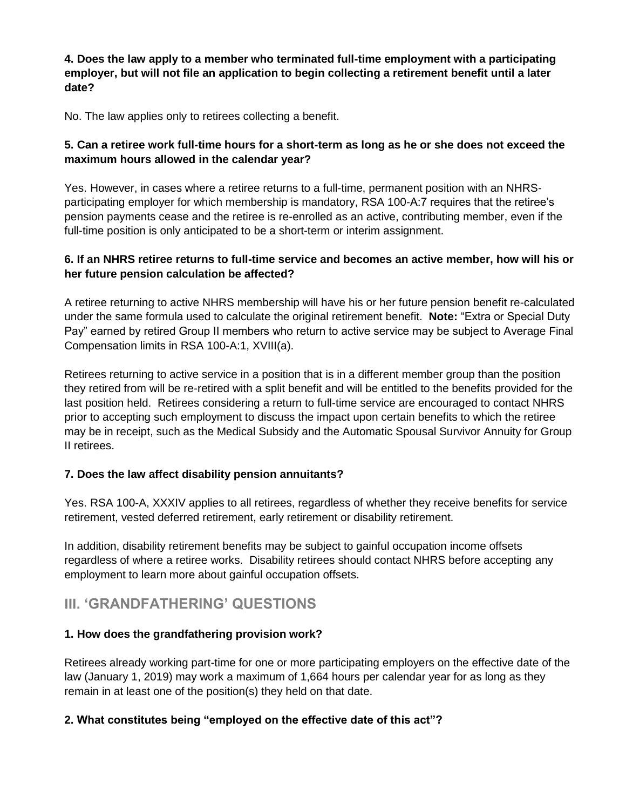#### **4. Does the law apply to a member who terminated full-time employment with a participating employer, but will not file an application to begin collecting a retirement benefit until a later date?**

No. The law applies only to retirees collecting a benefit.

## **5. Can a retiree work full-time hours for a short-term as long as he or she does not exceed the maximum hours allowed in the calendar year?**

Yes. However, in cases where a retiree returns to a full-time, permanent position with an NHRSparticipating employer for which membership is mandatory, RSA 100-A:7 requires that the retiree's pension payments cease and the retiree is re-enrolled as an active, contributing member, even if the full-time position is only anticipated to be a short-term or interim assignment.

## **6. If an NHRS retiree returns to full-time service and becomes an active member, how will his or her future pension calculation be affected?**

A retiree returning to active NHRS membership will have his or her future pension benefit re-calculated under the same formula used to calculate the original retirement benefit. **Note:** "Extra or Special Duty Pay" earned by retired Group II members who return to active service may be subject to Average Final Compensation limits in RSA 100-A:1, XVIII(a).

Retirees returning to active service in a position that is in a different member group than the position they retired from will be re-retired with a split benefit and will be entitled to the benefits provided for the last position held. Retirees considering a return to full-time service are encouraged to contact NHRS prior to accepting such employment to discuss the impact upon certain benefits to which the retiree may be in receipt, such as the Medical Subsidy and the Automatic Spousal Survivor Annuity for Group II retirees.

## **7. Does the law affect disability pension annuitants?**

Yes. RSA 100-A, XXXIV applies to all retirees, regardless of whether they receive benefits for service retirement, vested deferred retirement, early retirement or disability retirement.

In addition, disability retirement benefits may be subject to gainful occupation income offsets regardless of where a retiree works. Disability retirees should contact NHRS before accepting any employment to learn more about gainful occupation offsets.

# **III. 'GRANDFATHERING' QUESTIONS**

## **1. How does the grandfathering provision work?**

Retirees already working part-time for one or more participating employers on the effective date of the law (January 1, 2019) may work a maximum of 1,664 hours per calendar year for as long as they remain in at least one of the position(s) they held on that date.

## **2. What constitutes being "employed on the effective date of this act"?**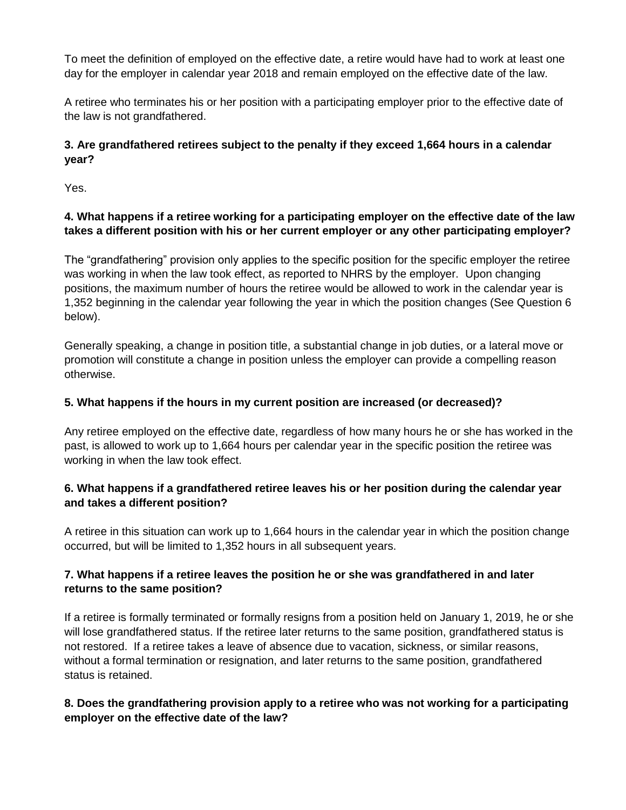To meet the definition of employed on the effective date, a retire would have had to work at least one day for the employer in calendar year 2018 and remain employed on the effective date of the law.

A retiree who terminates his or her position with a participating employer prior to the effective date of the law is not grandfathered.

## **3. Are grandfathered retirees subject to the penalty if they exceed 1,664 hours in a calendar year?**

Yes.

## **4. What happens if a retiree working for a participating employer on the effective date of the law takes a different position with his or her current employer or any other participating employer?**

The "grandfathering" provision only applies to the specific position for the specific employer the retiree was working in when the law took effect, as reported to NHRS by the employer. Upon changing positions, the maximum number of hours the retiree would be allowed to work in the calendar year is 1,352 beginning in the calendar year following the year in which the position changes (See Question 6 below).

Generally speaking, a change in position title, a substantial change in job duties, or a lateral move or promotion will constitute a change in position unless the employer can provide a compelling reason otherwise.

## **5. What happens if the hours in my current position are increased (or decreased)?**

Any retiree employed on the effective date, regardless of how many hours he or she has worked in the past, is allowed to work up to 1,664 hours per calendar year in the specific position the retiree was working in when the law took effect.

## **6. What happens if a grandfathered retiree leaves his or her position during the calendar year and takes a different position?**

A retiree in this situation can work up to 1,664 hours in the calendar year in which the position change occurred, but will be limited to 1,352 hours in all subsequent years.

## **7. What happens if a retiree leaves the position he or she was grandfathered in and later returns to the same position?**

If a retiree is formally terminated or formally resigns from a position held on January 1, 2019, he or she will lose grandfathered status. If the retiree later returns to the same position, grandfathered status is not restored. If a retiree takes a leave of absence due to vacation, sickness, or similar reasons, without a formal termination or resignation, and later returns to the same position, grandfathered status is retained.

## **8. Does the grandfathering provision apply to a retiree who was not working for a participating employer on the effective date of the law?**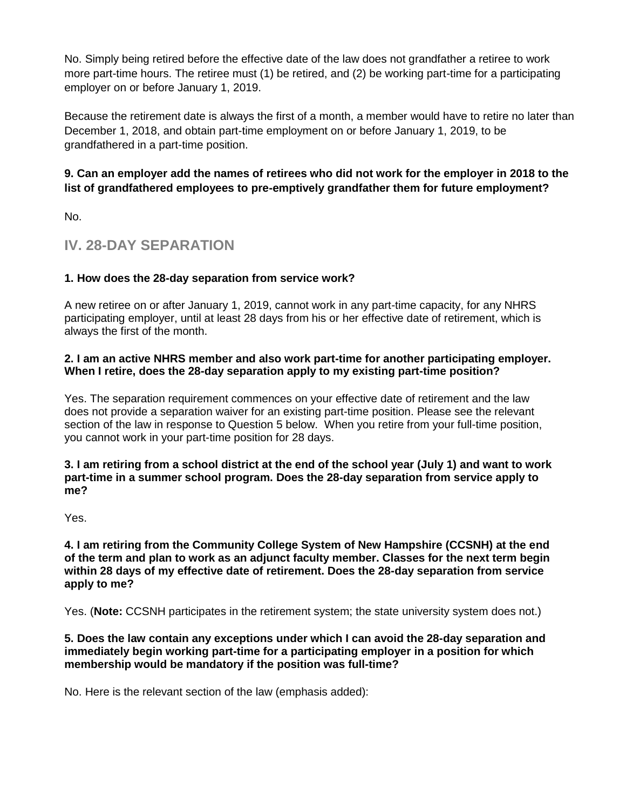No. Simply being retired before the effective date of the law does not grandfather a retiree to work more part-time hours. The retiree must (1) be retired, and (2) be working part-time for a participating employer on or before January 1, 2019.

Because the retirement date is always the first of a month, a member would have to retire no later than December 1, 2018, and obtain part-time employment on or before January 1, 2019, to be grandfathered in a part-time position.

## **9. Can an employer add the names of retirees who did not work for the employer in 2018 to the list of grandfathered employees to pre-emptively grandfather them for future employment?**

No.

# **IV. 28-DAY SEPARATION**

## **1. How does the 28-day separation from service work?**

A new retiree on or after January 1, 2019, cannot work in any part-time capacity, for any NHRS participating employer, until at least 28 days from his or her effective date of retirement, which is always the first of the month.

#### **2. I am an active NHRS member and also work part-time for another participating employer. When I retire, does the 28-day separation apply to my existing part-time position?**

Yes. The separation requirement commences on your effective date of retirement and the law does not provide a separation waiver for an existing part-time position. Please see the relevant section of the law in response to Question 5 below. When you retire from your full-time position, you cannot work in your part-time position for 28 days.

#### **3. I am retiring from a school district at the end of the school year (July 1) and want to work part-time in a summer school program. Does the 28-day separation from service apply to me?**

Yes.

**4. I am retiring from the Community College System of New Hampshire (CCSNH) at the end of the term and plan to work as an adjunct faculty member. Classes for the next term begin within 28 days of my effective date of retirement. Does the 28-day separation from service apply to me?**

Yes. (**Note:** CCSNH participates in the retirement system; the state university system does not.)

#### **5. Does the law contain any exceptions under which I can avoid the 28-day separation and immediately begin working part-time for a participating employer in a position for which membership would be mandatory if the position was full-time?**

No. Here is the relevant section of the law (emphasis added):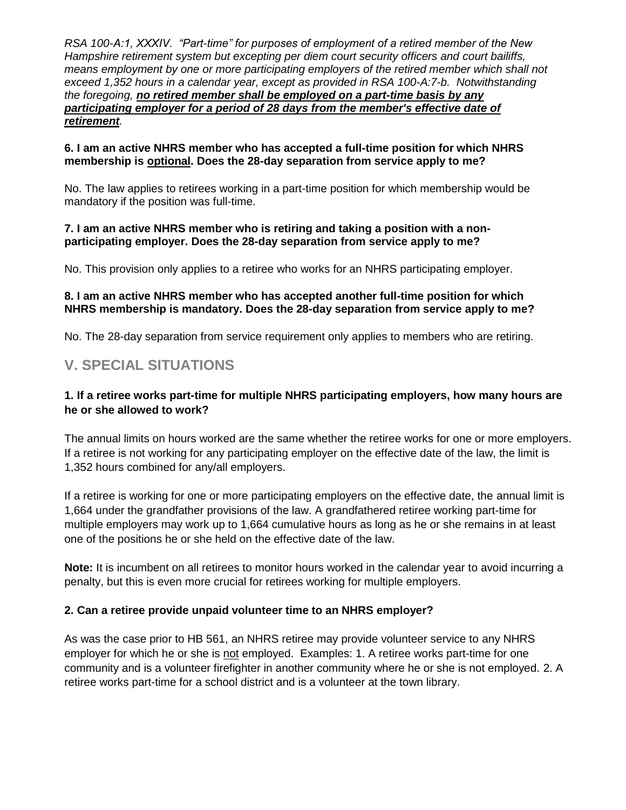*RSA 100-A:1, XXXIV. "Part-time" for purposes of employment of a retired member of the New Hampshire retirement system but excepting per diem court security officers and court bailiffs, means employment by one or more participating employers of the retired member which shall not exceed 1,352 hours in a calendar year, except as provided in RSA 100-A:7-b. Notwithstanding the foregoing, no retired member shall be employed on a part-time basis by any participating employer for a period of 28 days from the member's effective date of retirement.*

#### **6. I am an active NHRS member who has accepted a full-time position for which NHRS membership is optional. Does the 28-day separation from service apply to me?**

No. The law applies to retirees working in a part-time position for which membership would be mandatory if the position was full-time.

#### **7. I am an active NHRS member who is retiring and taking a position with a nonparticipating employer. Does the 28-day separation from service apply to me?**

No. This provision only applies to a retiree who works for an NHRS participating employer.

#### **8. I am an active NHRS member who has accepted another full-time position for which NHRS membership is mandatory. Does the 28-day separation from service apply to me?**

No. The 28-day separation from service requirement only applies to members who are retiring.

# **V. SPECIAL SITUATIONS**

#### **1. If a retiree works part-time for multiple NHRS participating employers, how many hours are he or she allowed to work?**

The annual limits on hours worked are the same whether the retiree works for one or more employers. If a retiree is not working for any participating employer on the effective date of the law, the limit is 1,352 hours combined for any/all employers.

If a retiree is working for one or more participating employers on the effective date, the annual limit is 1,664 under the grandfather provisions of the law. A grandfathered retiree working part-time for multiple employers may work up to 1,664 cumulative hours as long as he or she remains in at least one of the positions he or she held on the effective date of the law.

**Note:** It is incumbent on all retirees to monitor hours worked in the calendar year to avoid incurring a penalty, but this is even more crucial for retirees working for multiple employers.

#### **2. Can a retiree provide unpaid volunteer time to an NHRS employer?**

As was the case prior to HB 561, an NHRS retiree may provide volunteer service to any NHRS employer for which he or she is not employed. Examples: 1. A retiree works part-time for one community and is a volunteer firefighter in another community where he or she is not employed. 2. A retiree works part-time for a school district and is a volunteer at the town library.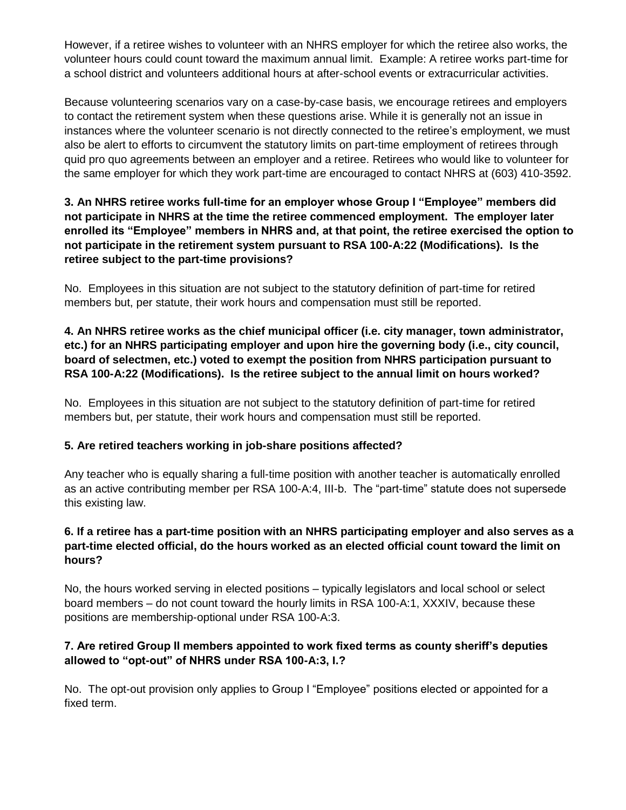However, if a retiree wishes to volunteer with an NHRS employer for which the retiree also works, the volunteer hours could count toward the maximum annual limit. Example: A retiree works part-time for a school district and volunteers additional hours at after-school events or extracurricular activities.

Because volunteering scenarios vary on a case-by-case basis, we encourage retirees and employers to contact the retirement system when these questions arise. While it is generally not an issue in instances where the volunteer scenario is not directly connected to the retiree's employment, we must also be alert to efforts to circumvent the statutory limits on part-time employment of retirees through quid pro quo agreements between an employer and a retiree. Retirees who would like to volunteer for the same employer for which they work part-time are encouraged to contact NHRS at (603) 410-3592.

#### **3. An NHRS retiree works full-time for an employer whose Group I "Employee" members did not participate in NHRS at the time the retiree commenced employment. The employer later enrolled its "Employee" members in NHRS and, at that point, the retiree exercised the option to not participate in the retirement system pursuant to RSA 100-A:22 (Modifications). Is the retiree subject to the part-time provisions?**

No. Employees in this situation are not subject to the statutory definition of part-time for retired members but, per statute, their work hours and compensation must still be reported.

## **4. An NHRS retiree works as the chief municipal officer (i.e. city manager, town administrator, etc.) for an NHRS participating employer and upon hire the governing body (i.e., city council, board of selectmen, etc.) voted to exempt the position from NHRS participation pursuant to RSA 100-A:22 (Modifications). Is the retiree subject to the annual limit on hours worked?**

No. Employees in this situation are not subject to the statutory definition of part-time for retired members but, per statute, their work hours and compensation must still be reported.

## **5. Are retired teachers working in job-share positions affected?**

Any teacher who is equally sharing a full-time position with another teacher is automatically enrolled as an active contributing member per RSA 100-A:4, III-b. The "part-time" statute does not supersede this existing law.

#### **6. If a retiree has a part-time position with an NHRS participating employer and also serves as a part-time elected official, do the hours worked as an elected official count toward the limit on hours?**

No, the hours worked serving in elected positions – typically legislators and local school or select board members – do not count toward the hourly limits in RSA 100-A:1, XXXIV, because these positions are membership-optional under RSA 100-A:3.

## **7. Are retired Group II members appointed to work fixed terms as county sheriff's deputies allowed to "opt-out" of NHRS under RSA 100-A:3, I.?**

No. The opt-out provision only applies to Group I "Employee" positions elected or appointed for a fixed term.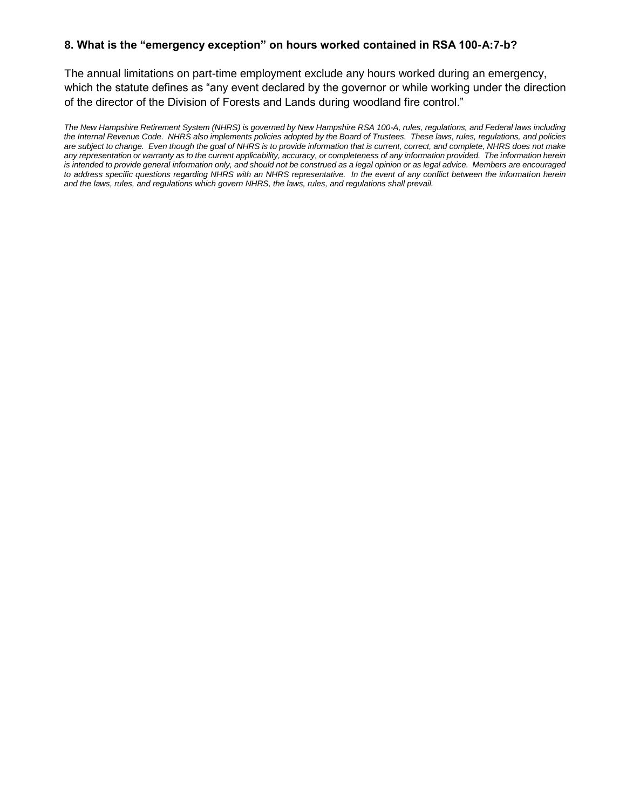#### **8. What is the "emergency exception" on hours worked contained in RSA 100-A:7-b?**

The annual limitations on part-time employment exclude any hours worked during an emergency, which the statute defines as "any event declared by the governor or while working under the direction of the director of the Division of Forests and Lands during woodland fire control."

*The New Hampshire Retirement System (NHRS) is governed by New Hampshire RSA 100-A, rules, regulations, and Federal laws including the Internal Revenue Code. NHRS also implements policies adopted by the Board of Trustees. These laws, rules, regulations, and policies are subject to change. Even though the goal of NHRS is to provide information that is current, correct, and complete, NHRS does not make any representation or warranty as to the current applicability, accuracy, or completeness of any information provided. The information herein*  is intended to provide general information only, and should not be construed as a legal opinion or as legal advice. Members are encouraged *to address specific questions regarding NHRS with an NHRS representative. In the event of any conflict between the information herein and the laws, rules, and regulations which govern NHRS, the laws, rules, and regulations shall prevail.*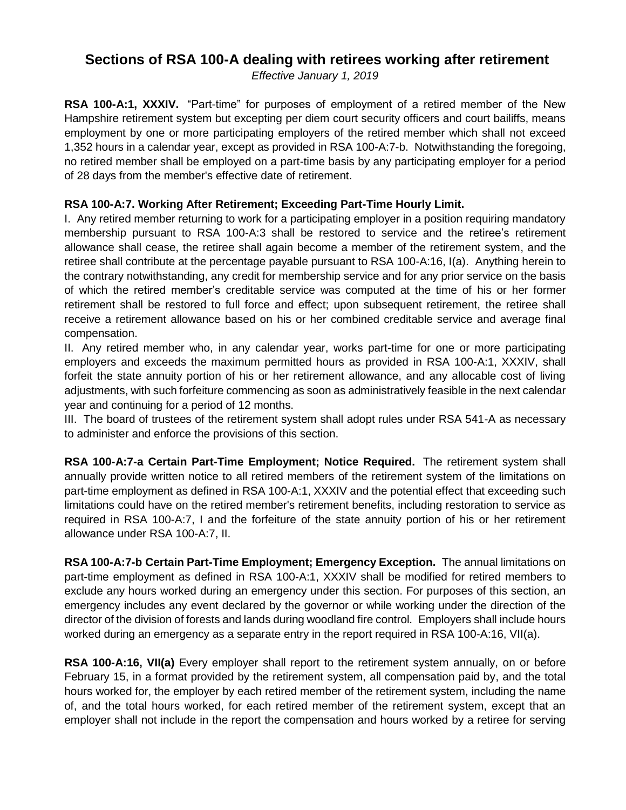# **Sections of RSA 100-A dealing with retirees working after retirement**

*Effective January 1, 2019*

**RSA 100-A:1, XXXIV.** "Part-time" for purposes of employment of a retired member of the New Hampshire retirement system but excepting per diem court security officers and court bailiffs, means employment by one or more participating employers of the retired member which shall not exceed 1,352 hours in a calendar year, except as provided in RSA 100-A:7-b. Notwithstanding the foregoing, no retired member shall be employed on a part-time basis by any participating employer for a period of 28 days from the member's effective date of retirement.

#### **RSA 100-A:7. Working After Retirement; Exceeding Part-Time Hourly Limit.**

I. Any retired member returning to work for a participating employer in a position requiring mandatory membership pursuant to RSA 100-A:3 shall be restored to service and the retiree's retirement allowance shall cease, the retiree shall again become a member of the retirement system, and the retiree shall contribute at the percentage payable pursuant to RSA 100-A:16, I(a). Anything herein to the contrary notwithstanding, any credit for membership service and for any prior service on the basis of which the retired member's creditable service was computed at the time of his or her former retirement shall be restored to full force and effect; upon subsequent retirement, the retiree shall receive a retirement allowance based on his or her combined creditable service and average final compensation.

II. Any retired member who, in any calendar year, works part-time for one or more participating employers and exceeds the maximum permitted hours as provided in RSA 100-A:1, XXXIV, shall forfeit the state annuity portion of his or her retirement allowance, and any allocable cost of living adjustments, with such forfeiture commencing as soon as administratively feasible in the next calendar year and continuing for a period of 12 months.

III. The board of trustees of the retirement system shall adopt rules under RSA 541-A as necessary to administer and enforce the provisions of this section.

**RSA 100-A:7-a Certain Part-Time Employment; Notice Required.** The retirement system shall annually provide written notice to all retired members of the retirement system of the limitations on part-time employment as defined in RSA 100-A:1, XXXIV and the potential effect that exceeding such limitations could have on the retired member's retirement benefits, including restoration to service as required in RSA 100-A:7, I and the forfeiture of the state annuity portion of his or her retirement allowance under RSA 100-A:7, II.

**RSA 100-A:7-b Certain Part-Time Employment; Emergency Exception.** The annual limitations on part-time employment as defined in RSA 100-A:1, XXXIV shall be modified for retired members to exclude any hours worked during an emergency under this section. For purposes of this section, an emergency includes any event declared by the governor or while working under the direction of the director of the division of forests and lands during woodland fire control. Employers shall include hours worked during an emergency as a separate entry in the report required in RSA 100-A:16, VII(a).

**RSA 100-A:16, VII(a)** Every employer shall report to the retirement system annually, on or before February 15, in a format provided by the retirement system, all compensation paid by, and the total hours worked for, the employer by each retired member of the retirement system, including the name of, and the total hours worked, for each retired member of the retirement system, except that an employer shall not include in the report the compensation and hours worked by a retiree for serving